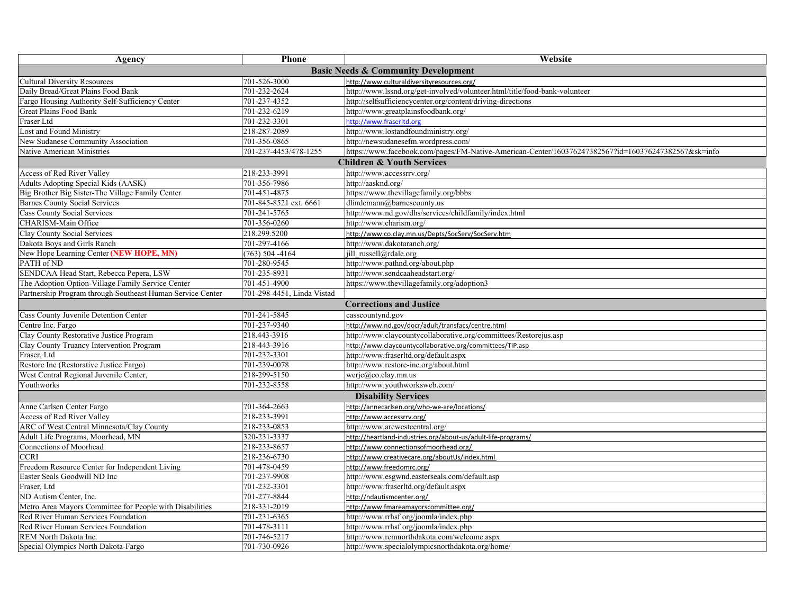| Agency                                                     | <b>Phone</b>               | Website                                                                                             |  |  |  |
|------------------------------------------------------------|----------------------------|-----------------------------------------------------------------------------------------------------|--|--|--|
| <b>Basic Needs &amp; Community Development</b>             |                            |                                                                                                     |  |  |  |
| <b>Cultural Diversity Resources</b>                        | 701-526-3000               | http://www.culturaldiversityresources.org/                                                          |  |  |  |
| Daily Bread/Great Plains Food Bank                         | 701-232-2624               | http://www.lssnd.org/get-involved/volunteer.html/title/food-bank-volunteer                          |  |  |  |
| Fargo Housing Authority Self-Sufficiency Center            | 701-237-4352               | http://selfsufficiencycenter.org/content/driving-directions                                         |  |  |  |
| <b>Great Plains Food Bank</b>                              | 701-232-6219               | http://www.greatplainsfoodbank.org/                                                                 |  |  |  |
| Fraser Ltd                                                 | 701-232-3301               | http://www.fraserltd.org                                                                            |  |  |  |
| Lost and Found Ministry                                    | 218-287-2089               | http://www.lostandfoundministry.org/                                                                |  |  |  |
| New Sudanese Community Association                         | 701-356-0865               | http://newsudanesefm.wordpress.com/                                                                 |  |  |  |
| Native American Ministries                                 | 701-237-4453/478-1255      | https://www.facebook.com/pages/FM-Native-American-Center/160376247382567?id=160376247382567&sk=info |  |  |  |
| <b>Children &amp; Youth Services</b>                       |                            |                                                                                                     |  |  |  |
| Access of Red River Valley                                 | 218-233-3991               | http://www.accessrrv.org/                                                                           |  |  |  |
| Adults Adopting Special Kids (AASK)                        | 701-356-7986               | http://aasknd.org/                                                                                  |  |  |  |
| Big Brother Big Sister-The Village Family Center           | 701-451-4875               | https://www.thevillagefamily.org/bbbs                                                               |  |  |  |
| <b>Barnes County Social Services</b>                       | 701-845-8521 ext. 6661     | dlindemann@barnescounty.us                                                                          |  |  |  |
| <b>Cass County Social Services</b>                         | 701-241-5765               | http://www.nd.gov/dhs/services/childfamily/index.html                                               |  |  |  |
| CHARISM-Main Office                                        | 701-356-0260               | http://www.charism.org/                                                                             |  |  |  |
| Clay County Social Services                                | 218.299.5200               | http://www.co.clay.mn.us/Depts/SocServ/SocServ.htm                                                  |  |  |  |
| Dakota Boys and Girls Ranch                                | 701-297-4166               | http://www.dakotaranch.org/                                                                         |  |  |  |
| New Hope Learning Center (NEW HOPE, MN)                    | $(763)$ 504 -4164          | jill russell@rdale.org                                                                              |  |  |  |
| PATH of ND                                                 | 701-280-9545               | http://www.pathnd.org/about.php                                                                     |  |  |  |
| SENDCAA Head Start, Rebecca Pepera, LSW                    | 701-235-8931               | http://www.sendcaaheadstart.org/                                                                    |  |  |  |
| The Adoption Option-Village Family Service Center          | 701-451-4900               | https://www.thevillagefamily.org/adoption3                                                          |  |  |  |
| Partnership Program through Southeast Human Service Center | 701-298-4451, Linda Vistad |                                                                                                     |  |  |  |
|                                                            |                            | <b>Corrections and Justice</b>                                                                      |  |  |  |
| Cass County Juvenile Detention Center                      | 701-241-5845               | casscountynd.gov                                                                                    |  |  |  |
| Centre Inc. Fargo                                          | 701-237-9340               | http://www.nd.gov/docr/adult/transfacs/centre.html                                                  |  |  |  |
| Clay County Restorative Justice Program                    | 218.443-3916               | http://www.claycountycollaborative.org/committees/Restorejus.asp                                    |  |  |  |
| Clay County Truancy Intervention Program                   | 218-443-3916               | http://www.claycountycollaborative.org/committees/TIP.asp                                           |  |  |  |
| Fraser, Ltd                                                | 701-232-3301               | http://www.fraserltd.org/default.aspx                                                               |  |  |  |
| Restore Inc (Restorative Justice Fargo)                    | 701-239-0078               | http://www.restore-inc.org/about.html                                                               |  |  |  |
| West Central Regional Juvenile Center,                     | 218-299-5150               | $\text{wcric}(\widehat{a}\text{,co.clay.mn.}us)$                                                    |  |  |  |
| Youthworks                                                 | 701-232-8558               | http://www.youthworksweb.com/                                                                       |  |  |  |
|                                                            |                            | <b>Disability Services</b>                                                                          |  |  |  |
| Anne Carlsen Center Fargo                                  | 701-364-2663               | http://annecarlsen.org/who-we-are/locations/                                                        |  |  |  |
| Access of Red River Valley                                 | 218-233-3991               | http://www.accessrrv.org/                                                                           |  |  |  |
| ARC of West Central Minnesota/Clay County                  | 218-233-0853               | http://www.arcwestcentral.org/                                                                      |  |  |  |
| Adult Life Programs, Moorhead, MN                          | 320-231-3337               | http://heartland-industries.org/about-us/adult-life-programs/                                       |  |  |  |
| Connections of Moorhead                                    | 218-233-8657               | http://www.connectionsofmoorhead.org/                                                               |  |  |  |
| <b>CCRI</b>                                                | 218-236-6730               | http://www.creativecare.org/aboutUs/index.html                                                      |  |  |  |
| Freedom Resource Center for Independent Living             | 701-478-0459               | http://www.freedomrc.org/                                                                           |  |  |  |
| Easter Seals Goodwill ND Inc                               | 701-237-9908               | http://www.esgwnd.easterseals.com/default.asp                                                       |  |  |  |
| Fraser, Ltd                                                | 701-232-3301               | http://www.fraserltd.org/default.aspx                                                               |  |  |  |
| ND Autism Center, Inc.                                     | 701-277-8844               | http://ndautismcenter.org/                                                                          |  |  |  |
| Metro Area Mayors Committee for People with Disabilities   | 218-331-2019               | http://www.fmareamayorscommittee.org/                                                               |  |  |  |
| Red River Human Services Foundation                        | 701-231-6365               | http://www.rrhsf.org/joomla/index.php                                                               |  |  |  |
| Red River Human Services Foundation                        | 701-478-3111               | http://www.rrhsf.org/joomla/index.php                                                               |  |  |  |
| REM North Dakota Inc.                                      | 701-746-5217               | http://www.remnorthdakota.com/welcome.aspx                                                          |  |  |  |
| Special Olympics North Dakota-Fargo                        | 701-730-0926               | http://www.specialolympicsnorthdakota.org/home/                                                     |  |  |  |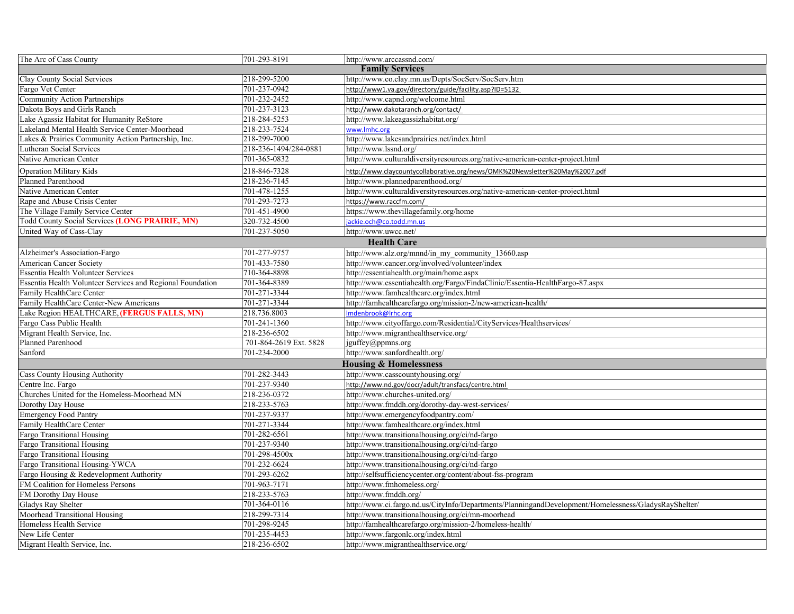| The Arc of Cass County                                     | 701-293-8191           | http://www.arccassnd.com/                                                                            |  |  |
|------------------------------------------------------------|------------------------|------------------------------------------------------------------------------------------------------|--|--|
| <b>Family Services</b>                                     |                        |                                                                                                      |  |  |
| Clay County Social Services                                | 218-299-5200           | http://www.co.clay.mn.us/Depts/SocServ/SocServ.htm                                                   |  |  |
| Fargo Vet Center                                           | 701-237-0942           | http://www1.va.gov/directory/guide/facility.asp?ID=5132                                              |  |  |
| <b>Community Action Partnerships</b>                       | 701-232-2452           | http://www.capnd.org/welcome.html                                                                    |  |  |
| Dakota Bovs and Girls Ranch                                | 701-237-3123           | http://www.dakotaranch.org/contact/                                                                  |  |  |
| Lake Agassiz Habitat for Humanity ReStore                  | 218-284-5253           | http://www.lakeagassizhabitat.org/                                                                   |  |  |
| Lakeland Mental Health Service Center-Moorhead             | 218-233-7524           | www.lmhc.org                                                                                         |  |  |
| Lakes & Prairies Community Action Partnership, Inc.        | 218-299-7000           | http://www.lakesandprairies.net/index.html                                                           |  |  |
| Lutheran Social Services                                   | 218-236-1494/284-0881  | http://www.lssnd.org/                                                                                |  |  |
| Native American Center                                     | 701-365-0832           | http://www.culturaldiversityresources.org/native-american-center-project.html                        |  |  |
| <b>Operation Military Kids</b>                             | 218-846-7328           | http://www.claycountycollaborative.org/news/OMK%20Newsletter%20May%2007.pdf                          |  |  |
| <b>Planned Parenthood</b>                                  | 218-236-7145           | http://www.plannedparenthood.org/                                                                    |  |  |
| Native American Center                                     | 701-478-1255           | http://www.culturaldiversityresources.org/native-american-center-project.html                        |  |  |
| Rape and Abuse Crisis Center                               | 701-293-7273           | https://www.raccfm.com/                                                                              |  |  |
| The Village Family Service Center                          | 701-451-4900           | https://www.thevillagefamily.org/home                                                                |  |  |
| Todd County Social Services (LONG PRAIRIE, MN)             | 320-732-4500           | jackie.och@co.todd.mn.us                                                                             |  |  |
| United Way of Cass-Clay                                    | 701-237-5050           | http://www.uwcc.net/                                                                                 |  |  |
|                                                            |                        | <b>Health Care</b>                                                                                   |  |  |
| Alzheimer's Association-Fargo                              | 701-277-9757           | http://www.alz.org/mnnd/in my community 13660.asp                                                    |  |  |
| American Cancer Society                                    | 701-433-7580           | http://www.cancer.org/involved/volunteer/index                                                       |  |  |
| <b>Essentia Health Volunteer Services</b>                  | 710-364-8898           | http://essentiahealth.org/main/home.aspx                                                             |  |  |
| Essentia Health Volunteer Services and Regional Foundation | 701-364-8389           | http://www.essentiahealth.org/Fargo/FindaClinic/Essentia-HealthFargo-87.aspx                         |  |  |
| Family HealthCare Center                                   | 701-271-3344           | http://www.famhealthcare.org/index.html                                                              |  |  |
| Family HealthCare Center-New Americans                     | 701-271-3344           | http://famhealthcarefargo.org/mission-2/new-american-health/                                         |  |  |
| Lake Region HEALTHCARE, (FERGUS FALLS, MN)                 | 218.736.8003           | Imdenbrook@Irhc.org                                                                                  |  |  |
| Fargo Cass Public Health                                   | 701-241-1360           | http://www.cityoffargo.com/Residential/CityServices/Healthservices/                                  |  |  |
| Migrant Health Service, Inc.                               | 218-236-6502           | http://www.migranthealthservice.org/                                                                 |  |  |
| Planned Parenhood                                          | 701-864-2619 Ext. 5828 | jguffey@ppmns.org                                                                                    |  |  |
| Sanford                                                    | 701-234-2000           | http://www.sanfordhealth.org/                                                                        |  |  |
|                                                            |                        | <b>Housing &amp; Homelessness</b>                                                                    |  |  |
| <b>Cass County Housing Authority</b>                       | 701-282-3443           | http://www.casscountyhousing.org/                                                                    |  |  |
| Centre Inc. Fargo                                          | 701-237-9340           | http://www.nd.gov/docr/adult/transfacs/centre.html                                                   |  |  |
| Churches United for the Homeless-Moorhead MN               | 218-236-0372           | http://www.churches-united.org/                                                                      |  |  |
| Dorothy Day House                                          | 218-233-5763           | http://www.fmddh.org/dorothy-day-west-services/                                                      |  |  |
| <b>Emergency Food Pantry</b>                               | 701-237-9337           | http://www.emergencyfoodpantry.com/                                                                  |  |  |
| Family HealthCare Center                                   | 701-271-3344           | http://www.famhealthcare.org/index.html                                                              |  |  |
| Fargo Transitional Housing                                 | 701-282-6561           | http://www.transitionalhousing.org/ci/nd-fargo                                                       |  |  |
| <b>Fargo Transitional Housing</b>                          | 701-237-9340           | http://www.transitionalhousing.org/ci/nd-fargo                                                       |  |  |
| Fargo Transitional Housing                                 | 701-298-4500x          | http://www.transitionalhousing.org/ci/nd-fargo                                                       |  |  |
| Fargo Transitional Housing-YWCA                            | 701-232-6624           | http://www.transitionalhousing.org/ci/nd-fargo                                                       |  |  |
| Fargo Housing & Redevelopment Authority                    | 701-293-6262           | http://selfsufficiencycenter.org/content/about-fss-program                                           |  |  |
| FM Coalition for Homeless Persons                          | 701-963-7171           | http://www.fmhomeless.org/                                                                           |  |  |
| FM Dorothy Day House                                       | 218-233-5763           | http://www.fmddh.org/                                                                                |  |  |
| Gladys Ray Shelter                                         | 701-364-0116           | http://www.ci.fargo.nd.us/CityInfo/Departments/PlanningandDevelopment/Homelessness/GladysRayShelter/ |  |  |
| Moorhead Transitional Housing                              | 218-299-7314           | http://www.transitionalhousing.org/ci/mn-moorhead                                                    |  |  |
| Homeless Health Service                                    | 701-298-9245           | http://famhealthcarefargo.org/mission-2/homeless-health/                                             |  |  |
| New Life Center                                            | 701-235-4453           | http://www.fargonlc.org/index.html                                                                   |  |  |
| Migrant Health Service, Inc.                               | 218-236-6502           | http://www.migranthealthservice.org/                                                                 |  |  |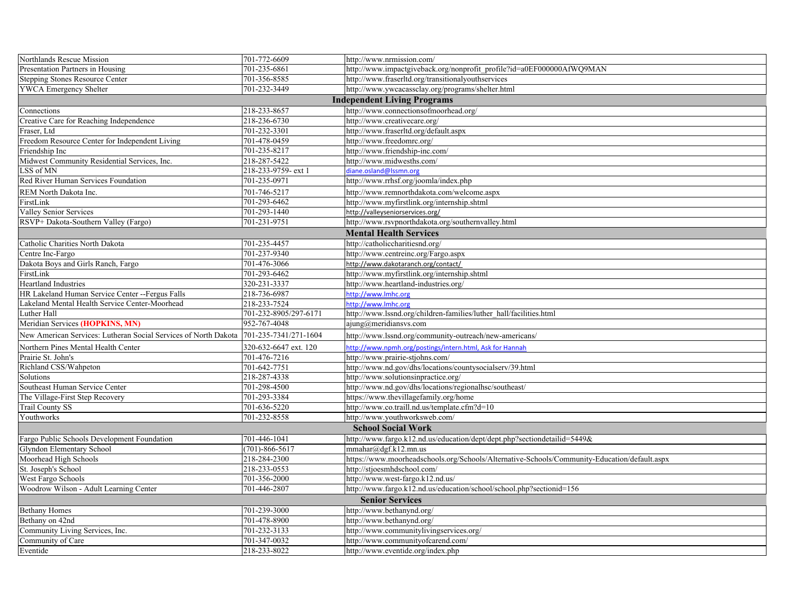| Northlands Rescue Mission                                       | 701-772-6609          | http://www.nrmission.com/                                                                    |  |  |  |
|-----------------------------------------------------------------|-----------------------|----------------------------------------------------------------------------------------------|--|--|--|
| Presentation Partners in Housing                                | 701-235-6861          | http://www.impactgiveback.org/nonprofit_profile?id=a0EF000000AfWQ9MAN                        |  |  |  |
| <b>Stepping Stones Resource Center</b>                          | 701-356-8585          | http://www.fraserltd.org/transitionalyouthservices                                           |  |  |  |
| <b>YWCA Emergency Shelter</b>                                   | 701-232-3449          | http://www.ywcacassclay.org/programs/shelter.html                                            |  |  |  |
|                                                                 |                       | <b>Independent Living Programs</b>                                                           |  |  |  |
| Connections                                                     | 218-233-8657          | http://www.connectionsofmoorhead.org/                                                        |  |  |  |
| Creative Care for Reaching Independence                         | 218-236-6730          | http://www.creativecare.org/                                                                 |  |  |  |
| Fraser, Ltd                                                     | 701-232-3301          | http://www.fraserltd.org/default.aspx                                                        |  |  |  |
| Freedom Resource Center for Independent Living                  | 701-478-0459          | http://www.freedomrc.org/                                                                    |  |  |  |
| Friendship Inc                                                  | 701-235-8217          | http://www.friendship-inc.com/                                                               |  |  |  |
| Midwest Community Residential Services, Inc.                    | 218-287-5422          | http://www.midwesths.com/                                                                    |  |  |  |
| LSS of MN                                                       | 218-233-9759- ext 1   | diane.osland@Issmn.org                                                                       |  |  |  |
| Red River Human Services Foundation                             | 701-235-0971          | http://www.rrhsf.org/joomla/index.php                                                        |  |  |  |
| REM North Dakota Inc.                                           | 701-746-5217          | http://www.remnorthdakota.com/welcome.aspx                                                   |  |  |  |
| FirstLink                                                       | 701-293-6462          | http://www.myfirstlink.org/internship.shtml                                                  |  |  |  |
| Valley Senior Services                                          | 701-293-1440          | http://valleyseniorservices.org/                                                             |  |  |  |
| RSVP+ Dakota-Southern Valley (Fargo)                            | 701-231-9751          | http://www.rsvpnorthdakota.org/southernvalley.html                                           |  |  |  |
| <b>Mental Health Services</b>                                   |                       |                                                                                              |  |  |  |
| Catholic Charities North Dakota                                 | 701-235-4457          | http://catholiccharitiesnd.org/                                                              |  |  |  |
| Centre Inc-Fargo                                                | 701-237-9340          | http://www.centreinc.org/Fargo.aspx                                                          |  |  |  |
| Dakota Boys and Girls Ranch, Fargo                              | 701-476-3066          | http://www.dakotaranch.org/contact/                                                          |  |  |  |
| FirstLink                                                       | 701-293-6462          | http://www.myfirstlink.org/internship.shtml                                                  |  |  |  |
| <b>Heartland Industries</b>                                     | 320-231-3337          | http://www.heartland-industries.org/                                                         |  |  |  |
| HR Lakeland Human Service Center --Fergus Falls                 | 218-736-6987          | http://www.lmhc.org                                                                          |  |  |  |
| Lakeland Mental Health Service Center-Moorhead                  | 218-233-7524          | http://www.lmhc.org                                                                          |  |  |  |
| Luther Hall                                                     | 701-232-8905/297-6171 | http://www.lssnd.org/children-families/luther hall/facilities.html                           |  |  |  |
| Meridian Services (HOPKINS, MN)                                 | 952-767-4048          | ajung@meridiansys.com                                                                        |  |  |  |
| New American Services: Lutheran Social Services of North Dakota | 701-235-7341/271-1604 | http://www.lssnd.org/community-outreach/new-americans/                                       |  |  |  |
| Northern Pines Mental Health Center                             | 320-632-6647 ext. 120 | http://www.npmh.org/postings/intern.html, Ask for Hannah                                     |  |  |  |
| Prairie St. John's                                              | 701-476-7216          | http://www.prairie-stjohns.com/                                                              |  |  |  |
| Richland CSS/Wahpeton                                           | 701-642-7751          | http://www.nd.gov/dhs/locations/countysocialserv/39.html                                     |  |  |  |
| Solutions                                                       | 218-287-4338          | http://www.solutionsinpractice.org/                                                          |  |  |  |
| Southeast Human Service Center                                  | 701-298-4500          | http://www.nd.gov/dhs/locations/regionalhsc/southeast/                                       |  |  |  |
| The Village-First Step Recovery                                 | 701-293-3384          | https://www.thevillagefamily.org/home                                                        |  |  |  |
| <b>Trail County SS</b>                                          | 701-636-5220          | http://www.co.traill.nd.us/template.cfm?d=10                                                 |  |  |  |
| Youthworks                                                      | 701-232-8558          | http://www.youthworksweb.com/                                                                |  |  |  |
| <b>School Social Work</b>                                       |                       |                                                                                              |  |  |  |
| Fargo Public Schools Development Foundation                     | 701-446-1041          | http://www.fargo.k12.nd.us/education/dept/dept.php?sectiondetailid=5449&                     |  |  |  |
| Glyndon Elementary School                                       | $(701) - 866 - 5617$  | mmahar@dgf.k12.mn.us                                                                         |  |  |  |
| Moorhead High Schools                                           | 218-284-2300          | https://www.moorheadschools.org/Schools/Alternative-Schools/Community-Education/default.aspx |  |  |  |
| St. Joseph's School                                             | 218-233-0553          | http://stjoesmhdschool.com/                                                                  |  |  |  |
| West Fargo Schools                                              | 701-356-2000          | http://www.west-fargo.k12.nd.us/                                                             |  |  |  |
| Woodrow Wilson - Adult Learning Center                          | 701-446-2807          | http://www.fargo.k12.nd.us/education/school/school.php?sectionid=156                         |  |  |  |
| <b>Senior Services</b>                                          |                       |                                                                                              |  |  |  |
| <b>Bethany Homes</b>                                            | 701-239-3000          | http://www.bethanynd.org/                                                                    |  |  |  |
| Bethany on 42nd                                                 | 701-478-8900          | http://www.bethanynd.org/                                                                    |  |  |  |
| Community Living Services, Inc.                                 | 701-232-3133          | http://www.communitylivingservices.org/                                                      |  |  |  |
| Community of Care                                               | 701-347-0032          | http://www.communityofcarend.com/                                                            |  |  |  |
| Eventide                                                        | 218-233-8022          | http://www.eventide.org/index.php                                                            |  |  |  |